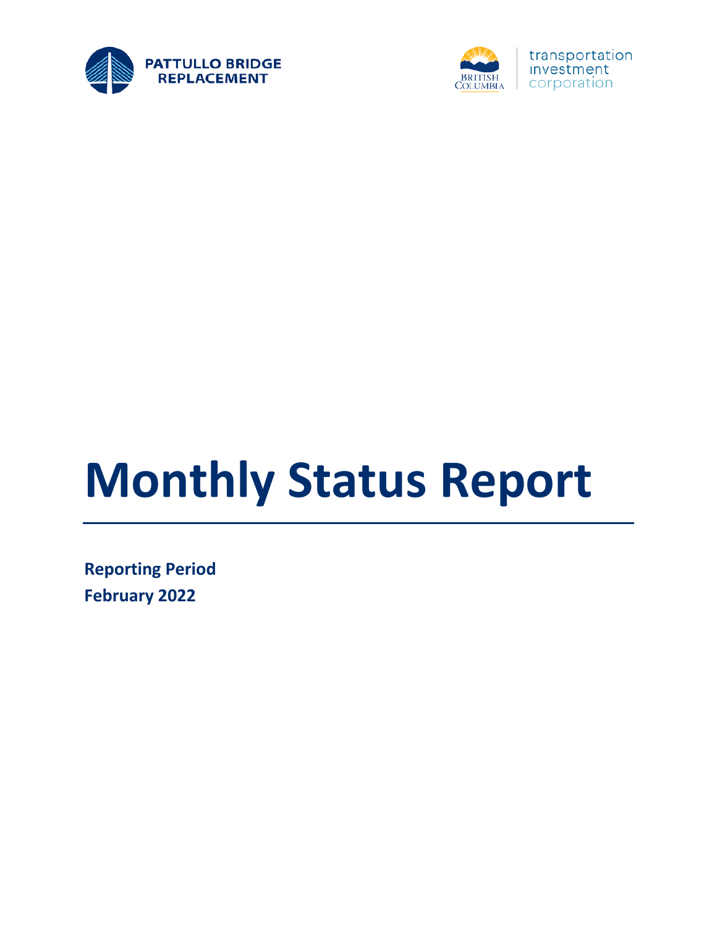



# **Monthly Status Report**

**Reporting Period February 2022**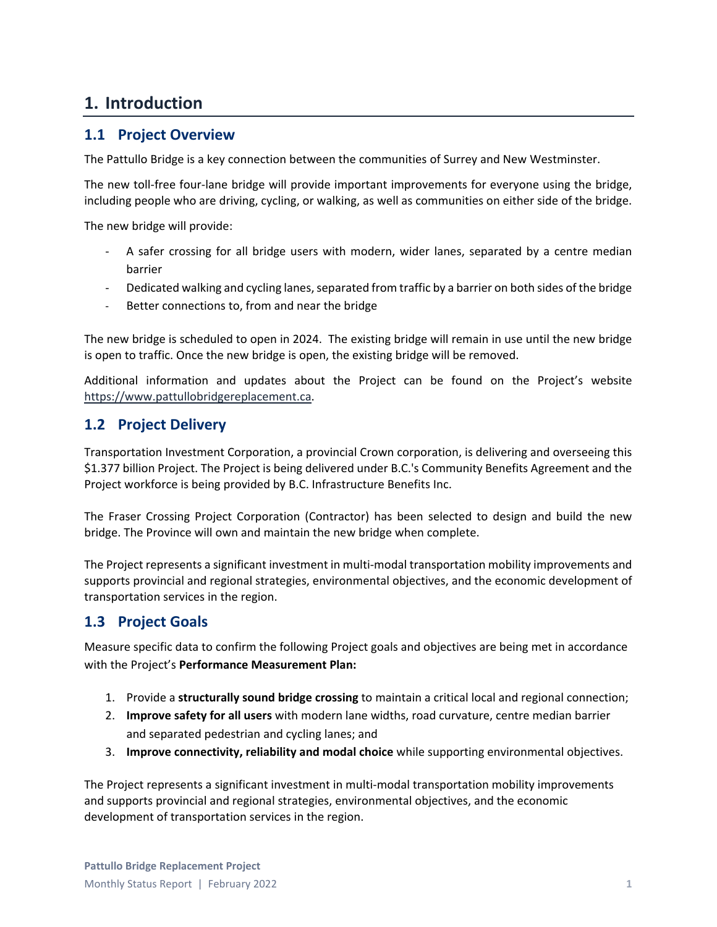## **1. Introduction**

#### **1.1 Project Overview**

The Pattullo Bridge is a key connection between the communities of Surrey and New Westminster.

The new toll-free four-lane bridge will provide important improvements for everyone using the bridge, including people who are driving, cycling, or walking, as well as communities on either side of the bridge.

The new bridge will provide:

- A safer crossing for all bridge users with modern, wider lanes, separated by a centre median barrier
- Dedicated walking and cycling lanes, separated from traffic by a barrier on both sides of the bridge
- Better connections to, from and near the bridge

The new bridge is scheduled to open in 2024. The existing bridge will remain in use until the new bridge is open to traffic. Once the new bridge is open, the existing bridge will be removed.

Additional information and updates about the Project can be found on the Project's website [https://www.pattullobridgereplacement.ca.](https://www.pattullobridgereplacement.ca/)

#### **1.2 Project Delivery**

Transportation Investment Corporation, a provincial Crown corporation, is delivering and overseeing this \$1.377 billion Project. The Project is being delivered under B.C.'s Community Benefits Agreement and the Project workforce is being provided by B.C. Infrastructure Benefits Inc.

The Fraser Crossing Project Corporation (Contractor) has been selected to design and build the new bridge. The Province will own and maintain the new bridge when complete.

The Project represents a significant investment in multi-modal transportation mobility improvements and supports provincial and regional strategies, environmental objectives, and the economic development of transportation services in the region.

#### **1.3 Project Goals**

Measure specific data to confirm the following Project goals and objectives are being met in accordance with the Project's **Performance Measurement Plan:**

- 1. Provide a **structurally sound bridge crossing** to maintain a critical local and regional connection;
- 2. **Improve safety for all users** with modern lane widths, road curvature, centre median barrier and separated pedestrian and cycling lanes; and
- 3. **Improve connectivity, reliability and modal choice** while supporting environmental objectives.

The Project represents a significant investment in multi-modal transportation mobility improvements and supports provincial and regional strategies, environmental objectives, and the economic development of transportation services in the region.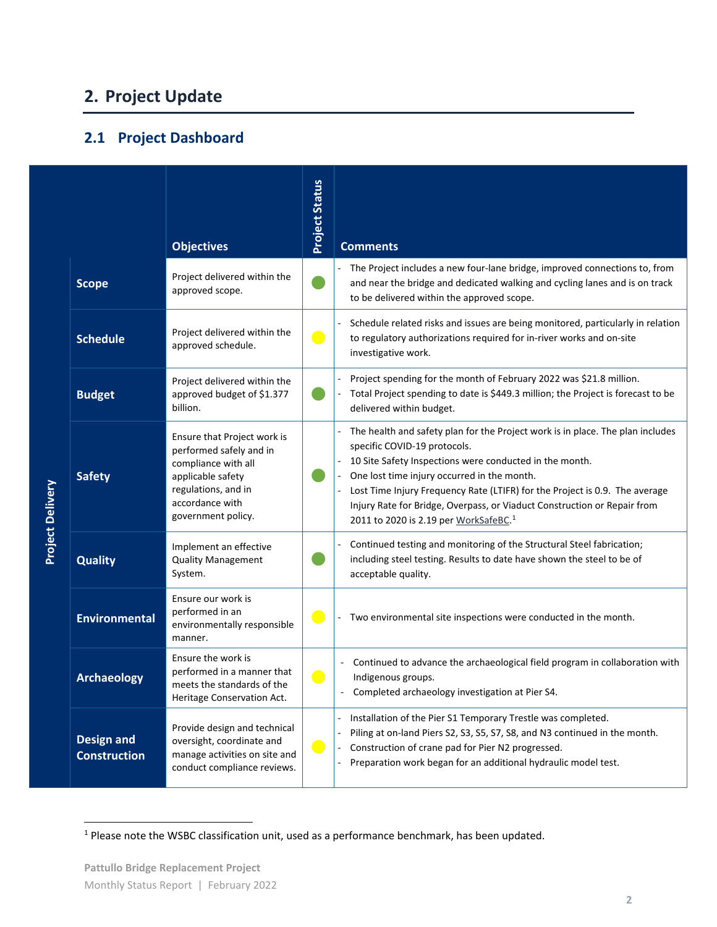# **2. Project Update**

## **2.1 Project Dashboard**

|                         |                                          | <b>Objectives</b>                                                                                                                                                  | <b>Project Status</b> | <b>Comments</b>                                                                                                                                                                                                                                                                                                                                                                                                                          |
|-------------------------|------------------------------------------|--------------------------------------------------------------------------------------------------------------------------------------------------------------------|-----------------------|------------------------------------------------------------------------------------------------------------------------------------------------------------------------------------------------------------------------------------------------------------------------------------------------------------------------------------------------------------------------------------------------------------------------------------------|
|                         | <b>Scope</b>                             | Project delivered within the<br>approved scope.                                                                                                                    |                       | The Project includes a new four-lane bridge, improved connections to, from<br>and near the bridge and dedicated walking and cycling lanes and is on track<br>to be delivered within the approved scope.                                                                                                                                                                                                                                  |
|                         | <b>Schedule</b>                          | Project delivered within the<br>approved schedule.                                                                                                                 | $\bullet$             | Schedule related risks and issues are being monitored, particularly in relation<br>to regulatory authorizations required for in-river works and on-site<br>investigative work.                                                                                                                                                                                                                                                           |
|                         | <b>Budget</b>                            | Project delivered within the<br>approved budget of \$1.377<br>billion.                                                                                             |                       | Project spending for the month of February 2022 was \$21.8 million.<br>Total Project spending to date is \$449.3 million; the Project is forecast to be<br>delivered within budget.                                                                                                                                                                                                                                                      |
| <b>Project Delivery</b> | <b>Safety</b>                            | Ensure that Project work is<br>performed safely and in<br>compliance with all<br>applicable safety<br>regulations, and in<br>accordance with<br>government policy. |                       | The health and safety plan for the Project work is in place. The plan includes<br>specific COVID-19 protocols.<br>10 Site Safety Inspections were conducted in the month.<br>One lost time injury occurred in the month.<br>Lost Time Injury Frequency Rate (LTIFR) for the Project is 0.9. The average<br>Injury Rate for Bridge, Overpass, or Viaduct Construction or Repair from<br>2011 to 2020 is 2.19 per WorkSafeBC. <sup>1</sup> |
|                         | <b>Quality</b>                           | Implement an effective<br><b>Quality Management</b><br>System.                                                                                                     |                       | Continued testing and monitoring of the Structural Steel fabrication;<br>including steel testing. Results to date have shown the steel to be of<br>acceptable quality.                                                                                                                                                                                                                                                                   |
|                         | <b>Environmental</b>                     | Ensure our work is<br>performed in an<br>environmentally responsible<br>manner.                                                                                    | $\blacksquare$        | Two environmental site inspections were conducted in the month.                                                                                                                                                                                                                                                                                                                                                                          |
|                         | <b>Archaeology</b>                       | Ensure the work is<br>performed in a manner that<br>meets the standards of the<br>Heritage Conservation Act.                                                       |                       | Continued to advance the archaeological field program in collaboration with<br>Indigenous groups.<br>Completed archaeology investigation at Pier S4.                                                                                                                                                                                                                                                                                     |
|                         | <b>Design and</b><br><b>Construction</b> | Provide design and technical<br>oversight, coordinate and<br>manage activities on site and<br>conduct compliance reviews.                                          | e e                   | Installation of the Pier S1 Temporary Trestle was completed.<br>Piling at on-land Piers S2, S3, S5, S7, S8, and N3 continued in the month.<br>Construction of crane pad for Pier N2 progressed.<br>Preparation work began for an additional hydraulic model test.                                                                                                                                                                        |

<span id="page-2-0"></span><sup>&</sup>lt;sup>1</sup> Please note the WSBC classification unit, used as a performance benchmark, has been updated.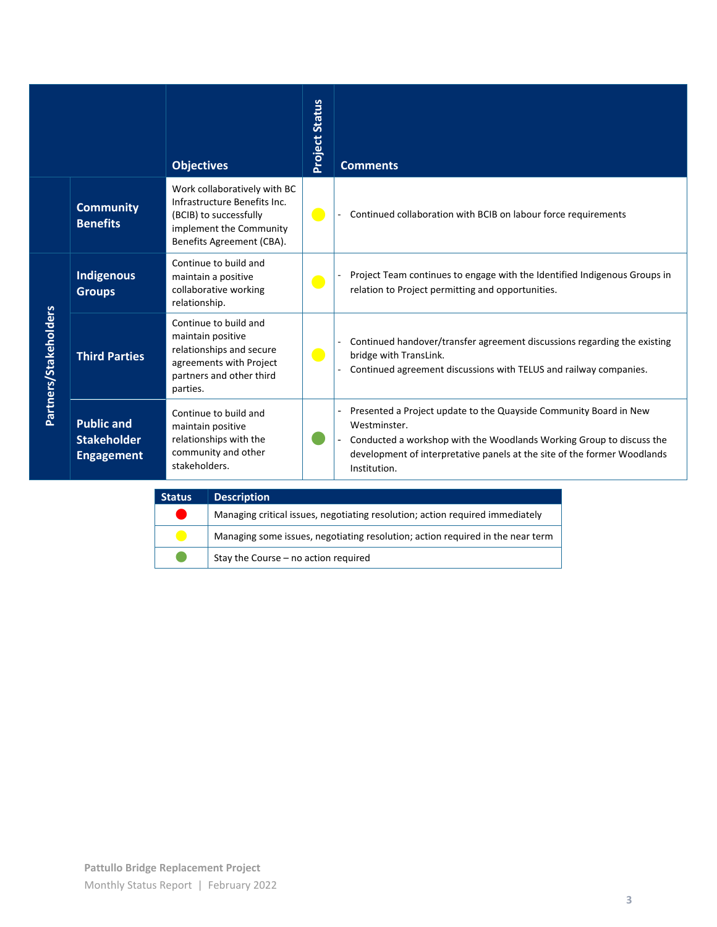|                       |                                                              | <b>Objectives</b>                                                                                                                              | <b>Project Status</b> | <b>Comments</b>                                                                                                                                                                                                                                       |
|-----------------------|--------------------------------------------------------------|------------------------------------------------------------------------------------------------------------------------------------------------|-----------------------|-------------------------------------------------------------------------------------------------------------------------------------------------------------------------------------------------------------------------------------------------------|
|                       | <b>Community</b><br><b>Benefits</b>                          | Work collaboratively with BC<br>Infrastructure Benefits Inc.<br>(BCIB) to successfully<br>implement the Community<br>Benefits Agreement (CBA). | $\bullet$             | Continued collaboration with BCIB on labour force requirements                                                                                                                                                                                        |
|                       | <b>Indigenous</b><br><b>Groups</b>                           | Continue to build and<br>maintain a positive<br>collaborative working<br>relationship.                                                         | $\bullet$             | Project Team continues to engage with the Identified Indigenous Groups in<br>relation to Project permitting and opportunities.                                                                                                                        |
| Partners/Stakeholders | <b>Third Parties</b>                                         | Continue to build and<br>maintain positive<br>relationships and secure<br>agreements with Project<br>partners and other third<br>parties.      | $\bullet$             | Continued handover/transfer agreement discussions regarding the existing<br>bridge with TransLink.<br>Continued agreement discussions with TELUS and railway companies.                                                                               |
|                       | <b>Public and</b><br><b>Stakeholder</b><br><b>Engagement</b> | Continue to build and<br>maintain positive<br>relationships with the<br>community and other<br>stakeholders.                                   |                       | Presented a Project update to the Quayside Community Board in New<br>Westminster.<br>Conducted a workshop with the Woodlands Working Group to discuss the<br>development of interpretative panels at the site of the former Woodlands<br>Institution. |

| <b>Status</b> | <b>Description</b>                                                             |
|---------------|--------------------------------------------------------------------------------|
|               | Managing critical issues, negotiating resolution; action required immediately  |
|               | Managing some issues, negotiating resolution; action required in the near term |
|               | Stay the Course - no action required                                           |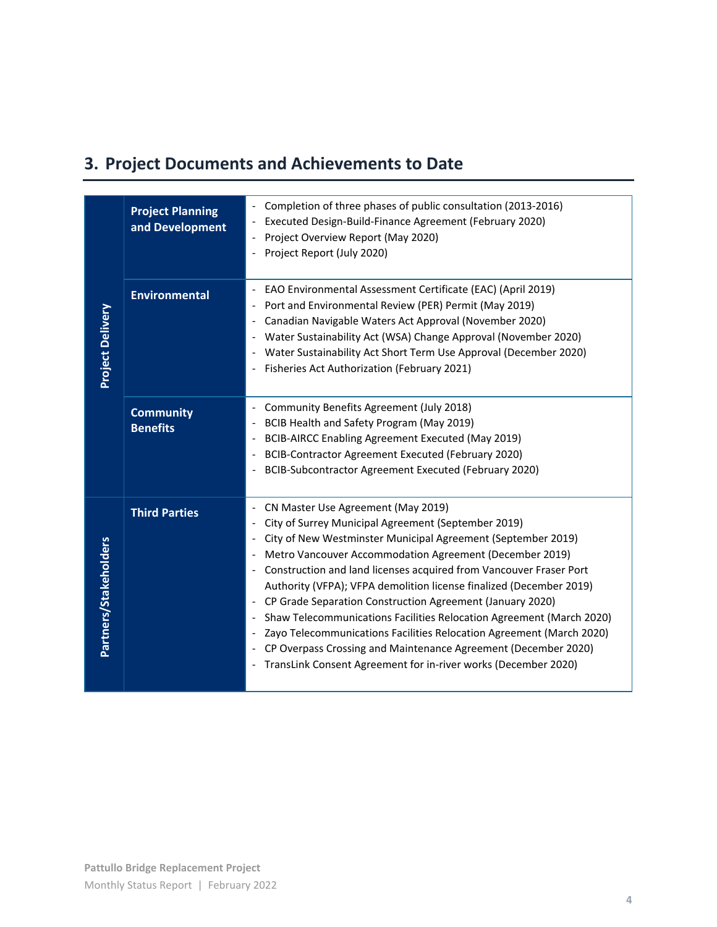# **3. Project Documents and Achievements to Date**

| <b>Project Planning</b><br>and Development | Completion of three phases of public consultation (2013-2016)<br>Executed Design-Build-Finance Agreement (February 2020)<br>$\overline{\phantom{a}}$<br>Project Overview Report (May 2020)<br>$\overline{\phantom{a}}$<br>Project Report (July 2020)                                                                                                                                                                                                                                                                                                                                                                                                                                                                                                                                                                               |
|--------------------------------------------|------------------------------------------------------------------------------------------------------------------------------------------------------------------------------------------------------------------------------------------------------------------------------------------------------------------------------------------------------------------------------------------------------------------------------------------------------------------------------------------------------------------------------------------------------------------------------------------------------------------------------------------------------------------------------------------------------------------------------------------------------------------------------------------------------------------------------------|
| <b>Environmental</b>                       | EAO Environmental Assessment Certificate (EAC) (April 2019)<br>$\overline{\phantom{a}}$<br>Port and Environmental Review (PER) Permit (May 2019)<br>Canadian Navigable Waters Act Approval (November 2020)<br>$\qquad \qquad \blacksquare$<br>Water Sustainability Act (WSA) Change Approval (November 2020)<br>$\overline{\phantom{a}}$<br>Water Sustainability Act Short Term Use Approval (December 2020)<br>Fisheries Act Authorization (February 2021)                                                                                                                                                                                                                                                                                                                                                                        |
| <b>Community</b><br><b>Benefits</b>        | Community Benefits Agreement (July 2018)<br>$\overline{\phantom{a}}$<br>BCIB Health and Safety Program (May 2019)<br>$\qquad \qquad \blacksquare$<br>BCIB-AIRCC Enabling Agreement Executed (May 2019)<br>$\qquad \qquad \blacksquare$<br>BCIB-Contractor Agreement Executed (February 2020)<br>$\overline{\phantom{a}}$<br>BCIB-Subcontractor Agreement Executed (February 2020)                                                                                                                                                                                                                                                                                                                                                                                                                                                  |
| <b>Third Parties</b>                       | CN Master Use Agreement (May 2019)<br>City of Surrey Municipal Agreement (September 2019)<br>City of New Westminster Municipal Agreement (September 2019)<br>$\overline{\phantom{a}}$<br>Metro Vancouver Accommodation Agreement (December 2019)<br>$\overline{\phantom{a}}$<br>Construction and land licenses acquired from Vancouver Fraser Port<br>$\overline{\phantom{a}}$<br>Authority (VFPA); VFPA demolition license finalized (December 2019)<br>CP Grade Separation Construction Agreement (January 2020)<br>Shaw Telecommunications Facilities Relocation Agreement (March 2020)<br>$\overline{\phantom{a}}$<br>Zayo Telecommunications Facilities Relocation Agreement (March 2020)<br>CP Overpass Crossing and Maintenance Agreement (December 2020)<br>TransLink Consent Agreement for in-river works (December 2020) |
|                                            |                                                                                                                                                                                                                                                                                                                                                                                                                                                                                                                                                                                                                                                                                                                                                                                                                                    |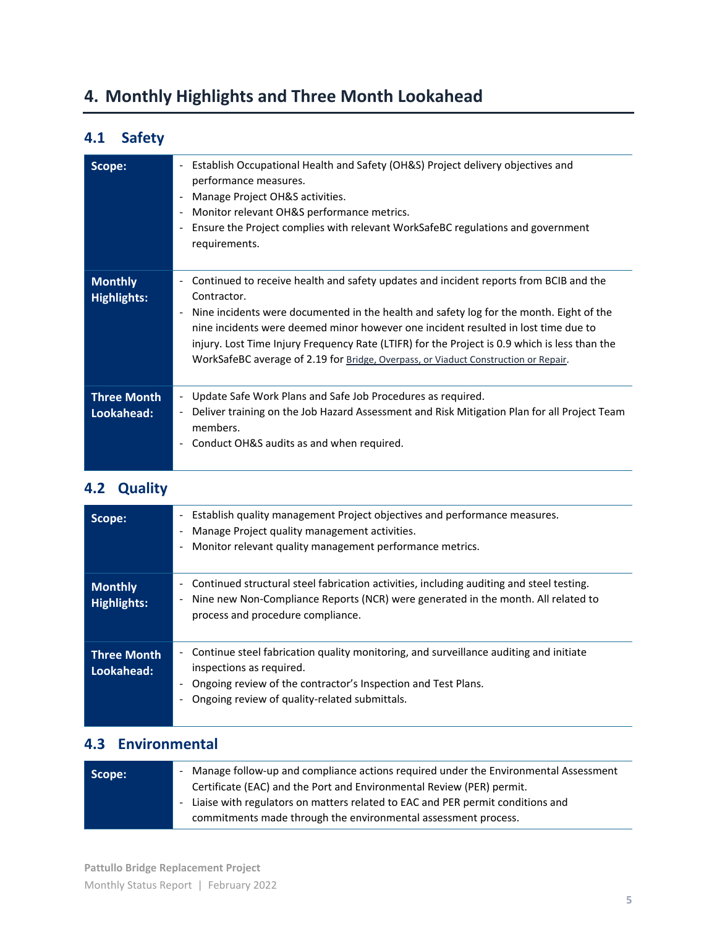# **4. Monthly Highlights and Three Month Lookahead**

## **4.1 Safety**

| Scope:                               | Establish Occupational Health and Safety (OH&S) Project delivery objectives and<br>$\overline{\phantom{a}}$<br>performance measures.<br>Manage Project OH&S activities.<br>Monitor relevant OH&S performance metrics.<br>$\overline{\phantom{a}}$<br>Ensure the Project complies with relevant WorkSafeBC regulations and government<br>$\overline{\phantom{a}}$<br>requirements.                                                                                                                                                     |
|--------------------------------------|---------------------------------------------------------------------------------------------------------------------------------------------------------------------------------------------------------------------------------------------------------------------------------------------------------------------------------------------------------------------------------------------------------------------------------------------------------------------------------------------------------------------------------------|
| <b>Monthly</b><br><b>Highlights:</b> | Continued to receive health and safety updates and incident reports from BCIB and the<br>$\overline{\phantom{a}}$<br>Contractor.<br>Nine incidents were documented in the health and safety log for the month. Eight of the<br>$\overline{\phantom{a}}$<br>nine incidents were deemed minor however one incident resulted in lost time due to<br>injury. Lost Time Injury Frequency Rate (LTIFR) for the Project is 0.9 which is less than the<br>WorkSafeBC average of 2.19 for Bridge, Overpass, or Viaduct Construction or Repair. |
| <b>Three Month</b><br>Lookahead:     | Update Safe Work Plans and Safe Job Procedures as required.<br>$\overline{\phantom{a}}$<br>Deliver training on the Job Hazard Assessment and Risk Mitigation Plan for all Project Team<br>$\overline{\phantom{a}}$<br>members.<br>Conduct OH&S audits as and when required.<br>-                                                                                                                                                                                                                                                      |

#### **4.2 Quality**

| Scope:                               | Establish quality management Project objectives and performance measures.<br>$\overline{\phantom{a}}$<br>Manage Project quality management activities.<br>Monitor relevant quality management performance metrics.                  |
|--------------------------------------|-------------------------------------------------------------------------------------------------------------------------------------------------------------------------------------------------------------------------------------|
| <b>Monthly</b><br><b>Highlights:</b> | Continued structural steel fabrication activities, including auditing and steel testing.<br>Nine new Non-Compliance Reports (NCR) were generated in the month. All related to<br>process and procedure compliance.                  |
| <b>Three Month</b><br>Lookahead:     | Continue steel fabrication quality monitoring, and surveillance auditing and initiate<br>inspections as required.<br>Ongoing review of the contractor's Inspection and Test Plans.<br>Ongoing review of quality-related submittals. |

### **4.3 Environmental**

| Scope: | - Manage follow-up and compliance actions required under the Environmental Assessment<br>Certificate (EAC) and the Port and Environmental Review (PER) permit. |
|--------|----------------------------------------------------------------------------------------------------------------------------------------------------------------|
|        | - Liaise with regulators on matters related to EAC and PER permit conditions and<br>commitments made through the environmental assessment process.             |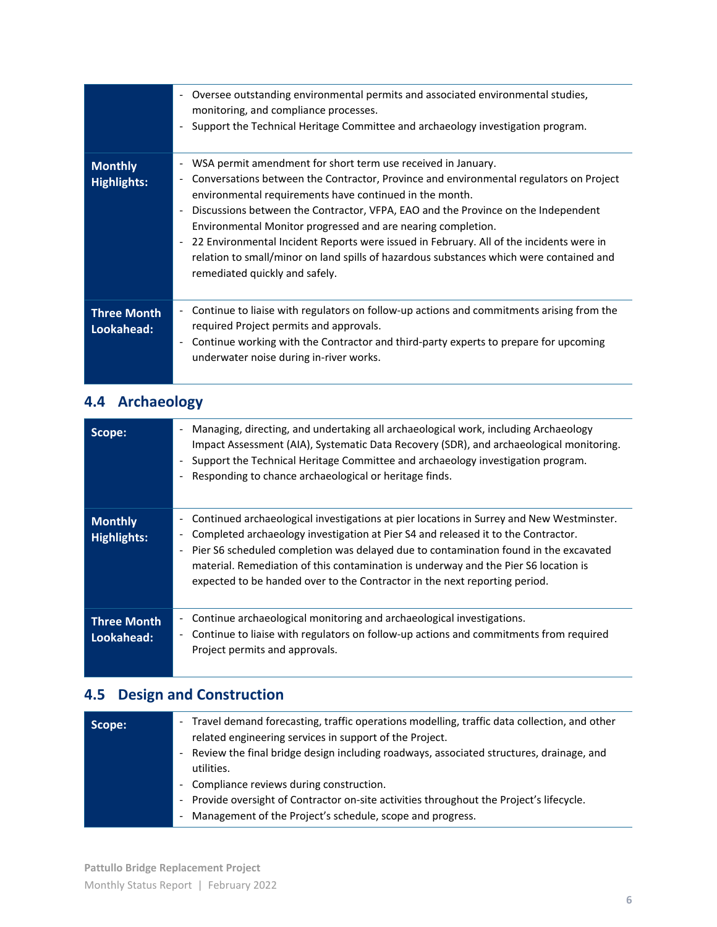|                                      | Oversee outstanding environmental permits and associated environmental studies,<br>$\overline{\phantom{a}}$<br>monitoring, and compliance processes.<br>Support the Technical Heritage Committee and archaeology investigation program.                                                                                                                                                                                                                                                                                                                                                                                                                |
|--------------------------------------|--------------------------------------------------------------------------------------------------------------------------------------------------------------------------------------------------------------------------------------------------------------------------------------------------------------------------------------------------------------------------------------------------------------------------------------------------------------------------------------------------------------------------------------------------------------------------------------------------------------------------------------------------------|
| <b>Monthly</b><br><b>Highlights:</b> | WSA permit amendment for short term use received in January.<br>$\overline{\phantom{a}}$<br>Conversations between the Contractor, Province and environmental regulators on Project<br>$\overline{\phantom{a}}$<br>environmental requirements have continued in the month.<br>Discussions between the Contractor, VFPA, EAO and the Province on the Independent<br>Environmental Monitor progressed and are nearing completion.<br>22 Environmental Incident Reports were issued in February. All of the incidents were in<br>relation to small/minor on land spills of hazardous substances which were contained and<br>remediated quickly and safely. |
| <b>Three Month</b><br>Lookahead:     | Continue to liaise with regulators on follow-up actions and commitments arising from the<br>required Project permits and approvals.<br>Continue working with the Contractor and third-party experts to prepare for upcoming<br>$\overline{\phantom{a}}$<br>underwater noise during in-river works.                                                                                                                                                                                                                                                                                                                                                     |

# **4.4 Archaeology**

| Scope:                        | Managing, directing, and undertaking all archaeological work, including Archaeology<br>Impact Assessment (AIA), Systematic Data Recovery (SDR), and archaeological monitoring.<br>Support the Technical Heritage Committee and archaeology investigation program.<br>Responding to chance archaeological or heritage finds.                                                                                                                     |
|-------------------------------|-------------------------------------------------------------------------------------------------------------------------------------------------------------------------------------------------------------------------------------------------------------------------------------------------------------------------------------------------------------------------------------------------------------------------------------------------|
| <b>Monthly</b><br>Highlights: | Continued archaeological investigations at pier locations in Surrey and New Westminster.<br>-<br>Completed archaeology investigation at Pier S4 and released it to the Contractor.<br>Pier S6 scheduled completion was delayed due to contamination found in the excavated<br>material. Remediation of this contamination is underway and the Pier S6 location is<br>expected to be handed over to the Contractor in the next reporting period. |
| Three Month<br>Lookahead:     | Continue archaeological monitoring and archaeological investigations.<br>۰.<br>Continue to liaise with regulators on follow-up actions and commitments from required<br>$\overline{\phantom{a}}$<br>Project permits and approvals.                                                                                                                                                                                                              |

## **4.5 Design and Construction**

| Scope: | - Travel demand forecasting, traffic operations modelling, traffic data collection, and other<br>related engineering services in support of the Project. |
|--------|----------------------------------------------------------------------------------------------------------------------------------------------------------|
|        | - Review the final bridge design including roadways, associated structures, drainage, and                                                                |
|        | utilities.                                                                                                                                               |
|        | - Compliance reviews during construction.                                                                                                                |
|        | - Provide oversight of Contractor on-site activities throughout the Project's lifecycle.                                                                 |
|        | Management of the Project's schedule, scope and progress.<br>$\overline{\phantom{a}}$                                                                    |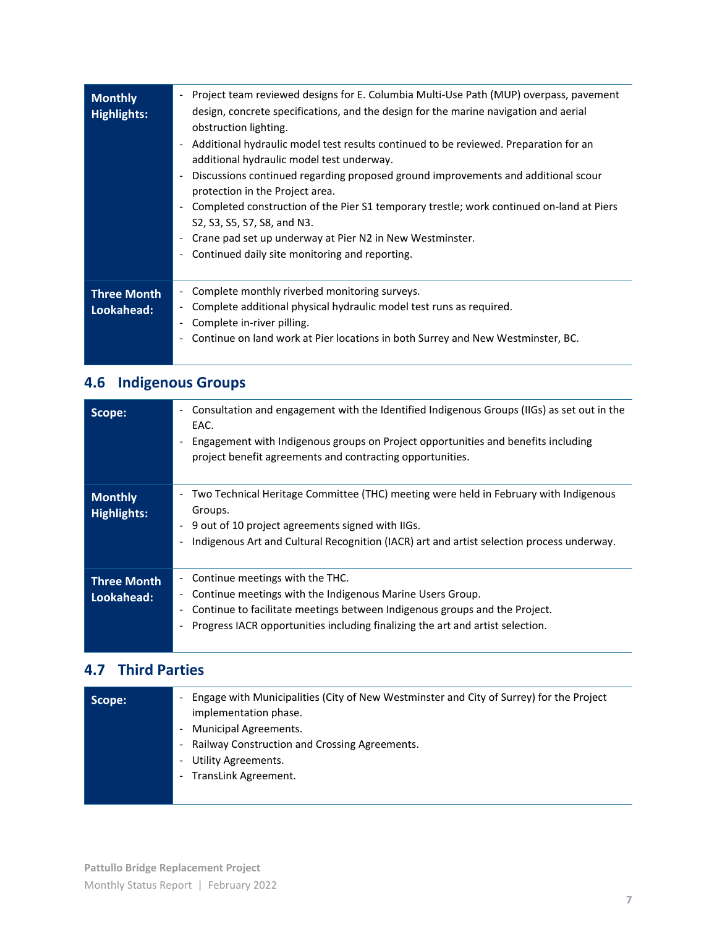| <b>Monthly</b><br><b>Highlights:</b> | Project team reviewed designs for E. Columbia Multi-Use Path (MUP) overpass, pavement<br>$\overline{\phantom{0}}$<br>design, concrete specifications, and the design for the marine navigation and aerial<br>obstruction lighting.<br>Additional hydraulic model test results continued to be reviewed. Preparation for an<br>$\overline{\phantom{a}}$<br>additional hydraulic model test underway.<br>Discussions continued regarding proposed ground improvements and additional scour<br>$\overline{\phantom{a}}$<br>protection in the Project area.<br>Completed construction of the Pier S1 temporary trestle; work continued on-land at Piers<br>$\overline{\phantom{a}}$<br>S2, S3, S5, S7, S8, and N3.<br>Crane pad set up underway at Pier N2 in New Westminster.<br>$\overline{\phantom{a}}$<br>Continued daily site monitoring and reporting.<br>$\overline{\phantom{a}}$ |
|--------------------------------------|--------------------------------------------------------------------------------------------------------------------------------------------------------------------------------------------------------------------------------------------------------------------------------------------------------------------------------------------------------------------------------------------------------------------------------------------------------------------------------------------------------------------------------------------------------------------------------------------------------------------------------------------------------------------------------------------------------------------------------------------------------------------------------------------------------------------------------------------------------------------------------------|
| <b>Three Month</b><br>Lookahead:     | Complete monthly riverbed monitoring surveys.<br>$\overline{\phantom{a}}$<br>Complete additional physical hydraulic model test runs as required.<br>$\overline{\phantom{a}}$<br>Complete in-river pilling.<br>Continue on land work at Pier locations in both Surrey and New Westminster, BC.<br>$\overline{\phantom{a}}$                                                                                                                                                                                                                                                                                                                                                                                                                                                                                                                                                            |

# **4.6 Indigenous Groups**

| Scope:                               | Consultation and engagement with the Identified Indigenous Groups (IIGs) as set out in the<br>$\overline{\phantom{a}}$<br>EAC.<br>Engagement with Indigenous groups on Project opportunities and benefits including<br>project benefit agreements and contracting opportunities.               |
|--------------------------------------|------------------------------------------------------------------------------------------------------------------------------------------------------------------------------------------------------------------------------------------------------------------------------------------------|
| <b>Monthly</b><br><b>Highlights:</b> | Two Technical Heritage Committee (THC) meeting were held in February with Indigenous<br>$\overline{\phantom{a}}$<br>Groups.<br>9 out of 10 project agreements signed with IIGs.<br>$\blacksquare$<br>Indigenous Art and Cultural Recognition (IACR) art and artist selection process underway. |
| <b>Three Month</b><br>Lookahead:     | Continue meetings with the THC.<br>$\overline{\phantom{0}}$<br>Continue meetings with the Indigenous Marine Users Group.<br>Continue to facilitate meetings between Indigenous groups and the Project.<br>Progress IACR opportunities including finalizing the art and artist selection.       |

## **4.7 Third Parties**

| Scope: | Engage with Municipalities (City of New Westminster and City of Surrey) for the Project<br>implementation phase.<br>- Municipal Agreements.<br>Railway Construction and Crossing Agreements.<br>$\overline{\phantom{a}}$<br>Utility Agreements.<br>$\qquad \qquad \blacksquare$<br>TransLink Agreement.<br>$\overline{\phantom{a}}$ |
|--------|-------------------------------------------------------------------------------------------------------------------------------------------------------------------------------------------------------------------------------------------------------------------------------------------------------------------------------------|
|--------|-------------------------------------------------------------------------------------------------------------------------------------------------------------------------------------------------------------------------------------------------------------------------------------------------------------------------------------|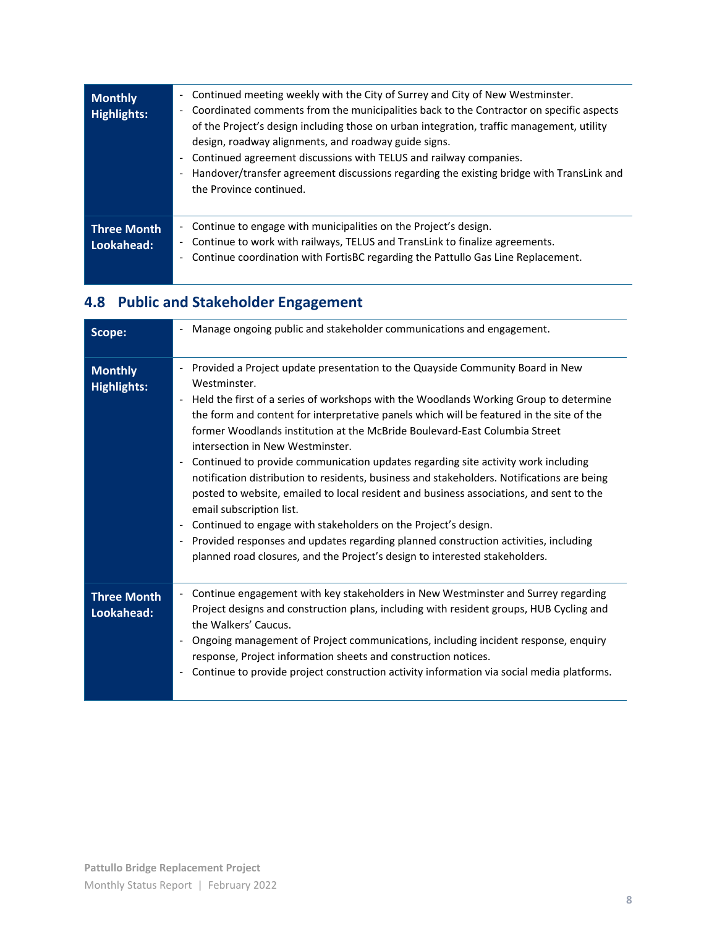| <b>Monthly</b><br><b>Highlights:</b> | Continued meeting weekly with the City of Surrey and City of New Westminster.<br>$\overline{\phantom{a}}$<br>Coordinated comments from the municipalities back to the Contractor on specific aspects<br>$\overline{\phantom{a}}$<br>of the Project's design including those on urban integration, traffic management, utility<br>design, roadway alignments, and roadway guide signs.<br>Continued agreement discussions with TELUS and railway companies.<br>$\overline{\phantom{a}}$<br>Handover/transfer agreement discussions regarding the existing bridge with TransLink and<br>$\overline{\phantom{a}}$<br>the Province continued. |
|--------------------------------------|-------------------------------------------------------------------------------------------------------------------------------------------------------------------------------------------------------------------------------------------------------------------------------------------------------------------------------------------------------------------------------------------------------------------------------------------------------------------------------------------------------------------------------------------------------------------------------------------------------------------------------------------|
| <b>Three Month</b><br>Lookahead:     | Continue to engage with municipalities on the Project's design.<br>$\overline{\phantom{a}}$<br>Continue to work with railways, TELUS and TransLink to finalize agreements.<br>-<br>Continue coordination with FortisBC regarding the Pattullo Gas Line Replacement.<br>$\overline{\phantom{0}}$                                                                                                                                                                                                                                                                                                                                           |

# **4.8 Public and Stakeholder Engagement**

| Scope:                               | Manage ongoing public and stakeholder communications and engagement.                                                                                                                                                                                                                                                                                                                                                                                                                                                                                                                                                                                                                                                                                                                                                                                                                                                                                                                                 |
|--------------------------------------|------------------------------------------------------------------------------------------------------------------------------------------------------------------------------------------------------------------------------------------------------------------------------------------------------------------------------------------------------------------------------------------------------------------------------------------------------------------------------------------------------------------------------------------------------------------------------------------------------------------------------------------------------------------------------------------------------------------------------------------------------------------------------------------------------------------------------------------------------------------------------------------------------------------------------------------------------------------------------------------------------|
| <b>Monthly</b><br><b>Highlights:</b> | Provided a Project update presentation to the Quayside Community Board in New<br>Westminster.<br>Held the first of a series of workshops with the Woodlands Working Group to determine<br>$\blacksquare$<br>the form and content for interpretative panels which will be featured in the site of the<br>former Woodlands institution at the McBride Boulevard-East Columbia Street<br>intersection in New Westminster.<br>Continued to provide communication updates regarding site activity work including<br>notification distribution to residents, business and stakeholders. Notifications are being<br>posted to website, emailed to local resident and business associations, and sent to the<br>email subscription list.<br>Continued to engage with stakeholders on the Project's design.<br>Provided responses and updates regarding planned construction activities, including<br>$\overline{\phantom{a}}$<br>planned road closures, and the Project's design to interested stakeholders. |
| <b>Three Month</b><br>Lookahead:     | Continue engagement with key stakeholders in New Westminster and Surrey regarding<br>$\overline{\phantom{a}}$<br>Project designs and construction plans, including with resident groups, HUB Cycling and<br>the Walkers' Caucus.<br>Ongoing management of Project communications, including incident response, enquiry<br>response, Project information sheets and construction notices.<br>Continue to provide project construction activity information via social media platforms.                                                                                                                                                                                                                                                                                                                                                                                                                                                                                                                |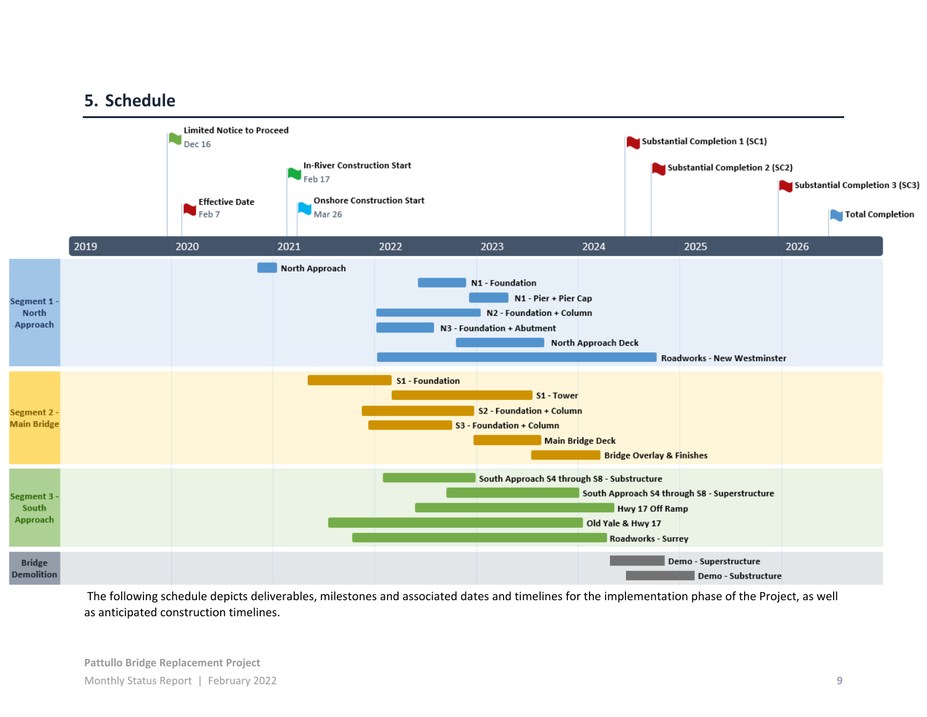## **5. Schedule**



The following schedule depicts deliverables, milestones and associated dates and timelines for the implementation phase of the Project, as well as anticipated construction timelines.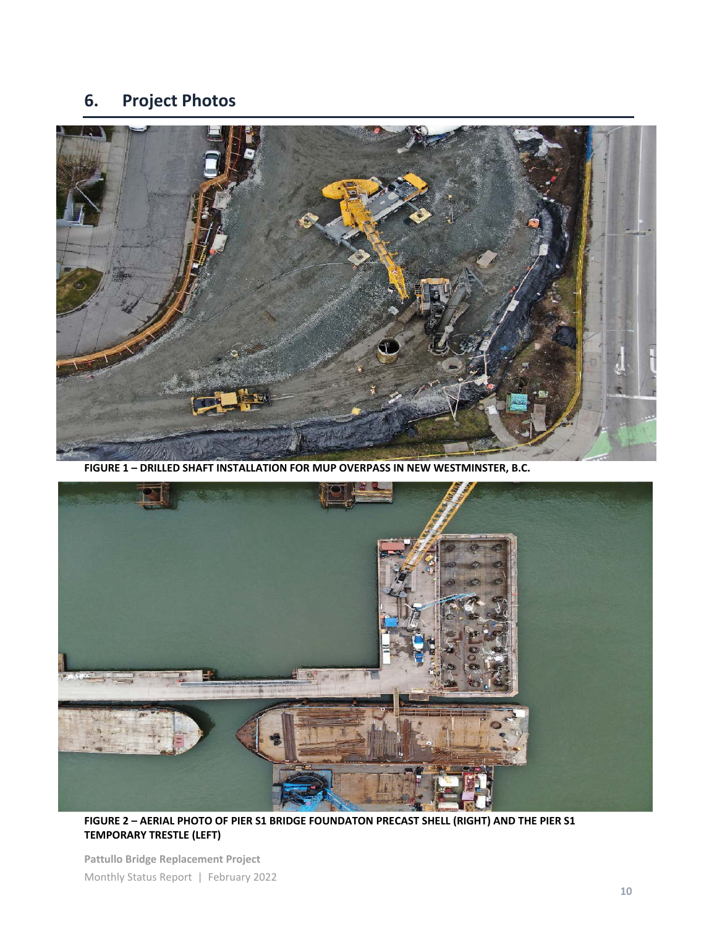## **6. Project Photos**



**FIGURE 1 – DRILLED SHAFT INSTALLATION FOR MUP OVERPASS IN NEW WESTMINSTER, B.C.**



**FIGURE 2 – AERIAL PHOTO OF PIER S1 BRIDGE FOUNDATON PRECAST SHELL (RIGHT) AND THE PIER S1 TEMPORARY TRESTLE (LEFT)**

**Pattullo Bridge Replacement Project** Monthly Status Report | February 2022